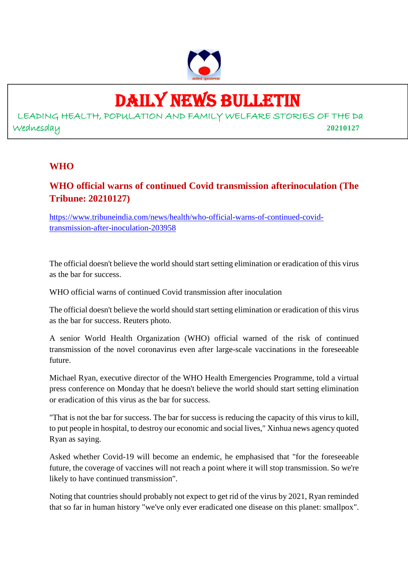

# DAILY NEWS BULLETIN

LEADING HEALTH, POPULATION AND FAMILY WELFARE STORIES OF THE Da Wednesday **20210127**

#### **WHO**

# **WHO official warns of continued Covid transmission afterinoculation (The Tribune: 20210127)**

https://www.tribuneindia.com/news/health/who-official-warns-of-continued-covidtransmission-after-inoculation-203958

The official doesn't believe the world should start setting elimination or eradication of this virus as the bar for success.

WHO official warns of continued Covid transmission after inoculation

The official doesn't believe the world should start setting elimination or eradication of this virus as the bar for success. Reuters photo.

A senior World Health Organization (WHO) official warned of the risk of continued transmission of the novel coronavirus even after large-scale vaccinations in the foreseeable future.

Michael Ryan, executive director of the WHO Health Emergencies Programme, told a virtual press conference on Monday that he doesn't believe the world should start setting elimination or eradication of this virus as the bar for success.

"That is not the bar for success. The bar for success is reducing the capacity of this virus to kill, to put people in hospital, to destroy our economic and social lives," Xinhua news agency quoted Ryan as saying.

Asked whether Covid-19 will become an endemic, he emphasised that "for the foreseeable future, the coverage of vaccines will not reach a point where it will stop transmission. So we're likely to have continued transmission".

Noting that countries should probably not expect to get rid of the virus by 2021, Ryan reminded that so far in human history "we've only ever eradicated one disease on this planet: smallpox".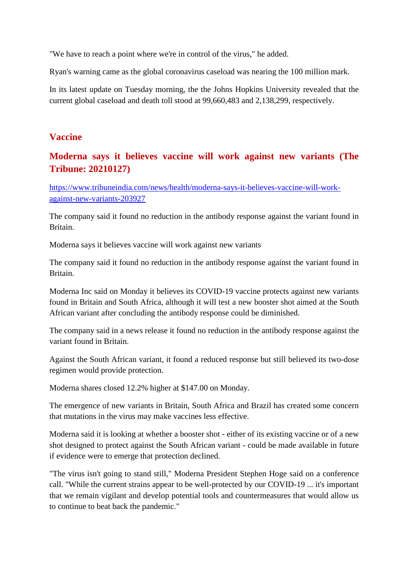"We have to reach a point where we're in control of the virus," he added.

Ryan's warning came as the global coronavirus caseload was nearing the 100 million mark.

In its latest update on Tuesday morning, the the Johns Hopkins University revealed that the current global caseload and death toll stood at 99,660,483 and 2,138,299, respectively.

#### **Vaccine**

## **Moderna says it believes vaccine will work against new variants (The Tribune: 20210127)**

https://www.tribuneindia.com/news/health/moderna-says-it-believes-vaccine-will-workagainst-new-variants-203927

The company said it found no reduction in the antibody response against the variant found in Britain.

Moderna says it believes vaccine will work against new variants

The company said it found no reduction in the antibody response against the variant found in Britain.

Moderna Inc said on Monday it believes its COVID-19 vaccine protects against new variants found in Britain and South Africa, although it will test a new booster shot aimed at the South African variant after concluding the antibody response could be diminished.

The company said in a news release it found no reduction in the antibody response against the variant found in Britain.

Against the South African variant, it found a reduced response but still believed its two-dose regimen would provide protection.

Moderna shares closed 12.2% higher at \$147.00 on Monday.

The emergence of new variants in Britain, South Africa and Brazil has created some concern that mutations in the virus may make vaccines less effective.

Moderna said it is looking at whether a booster shot - either of its existing vaccine or of a new shot designed to protect against the South African variant - could be made available in future if evidence were to emerge that protection declined.

"The virus isn't going to stand still," Moderna President Stephen Hoge said on a conference call. "While the current strains appear to be well-protected by our COVID-19 ... it's important that we remain vigilant and develop potential tools and countermeasures that would allow us to continue to beat back the pandemic."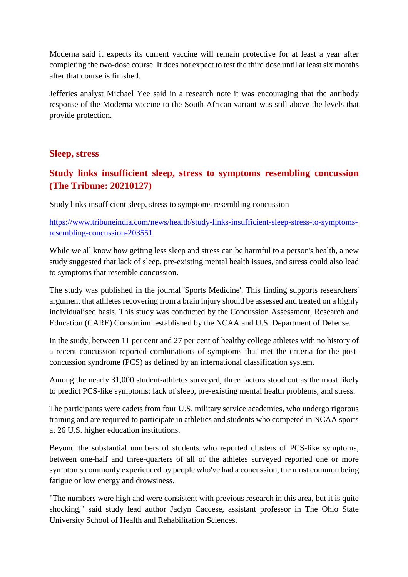Moderna said it expects its current vaccine will remain protective for at least a year after completing the two-dose course. It does not expect to test the third dose until at least six months after that course is finished.

Jefferies analyst Michael Yee said in a research note it was encouraging that the antibody response of the Moderna vaccine to the South African variant was still above the levels that provide protection.

#### **Sleep, stress**

# **Study links insufficient sleep, stress to symptoms resembling concussion (The Tribune: 20210127)**

Study links insufficient sleep, stress to symptoms resembling concussion

https://www.tribuneindia.com/news/health/study-links-insufficient-sleep-stress-to-symptomsresembling-concussion-203551

While we all know how getting less sleep and stress can be harmful to a person's health, a new study suggested that lack of sleep, pre-existing mental health issues, and stress could also lead to symptoms that resemble concussion.

The study was published in the journal 'Sports Medicine'. This finding supports researchers' argument that athletes recovering from a brain injury should be assessed and treated on a highly individualised basis. This study was conducted by the Concussion Assessment, Research and Education (CARE) Consortium established by the NCAA and U.S. Department of Defense.

In the study, between 11 per cent and 27 per cent of healthy college athletes with no history of a recent concussion reported combinations of symptoms that met the criteria for the postconcussion syndrome (PCS) as defined by an international classification system.

Among the nearly 31,000 student-athletes surveyed, three factors stood out as the most likely to predict PCS-like symptoms: lack of sleep, pre-existing mental health problems, and stress.

The participants were cadets from four U.S. military service academies, who undergo rigorous training and are required to participate in athletics and students who competed in NCAA sports at 26 U.S. higher education institutions.

Beyond the substantial numbers of students who reported clusters of PCS-like symptoms, between one-half and three-quarters of all of the athletes surveyed reported one or more symptoms commonly experienced by people who've had a concussion, the most common being fatigue or low energy and drowsiness.

"The numbers were high and were consistent with previous research in this area, but it is quite shocking," said study lead author Jaclyn Caccese, assistant professor in The Ohio State University School of Health and Rehabilitation Sciences.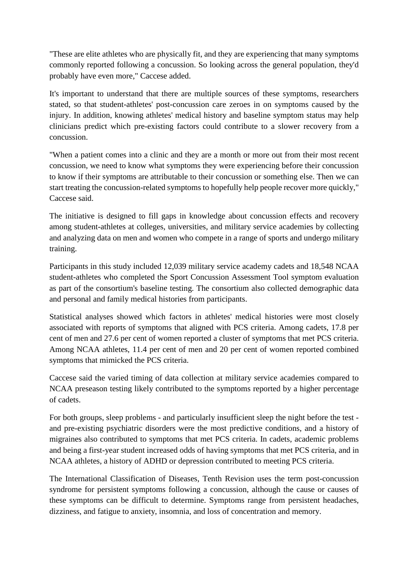"These are elite athletes who are physically fit, and they are experiencing that many symptoms commonly reported following a concussion. So looking across the general population, they'd probably have even more," Caccese added.

It's important to understand that there are multiple sources of these symptoms, researchers stated, so that student-athletes' post-concussion care zeroes in on symptoms caused by the injury. In addition, knowing athletes' medical history and baseline symptom status may help clinicians predict which pre-existing factors could contribute to a slower recovery from a concussion.

"When a patient comes into a clinic and they are a month or more out from their most recent concussion, we need to know what symptoms they were experiencing before their concussion to know if their symptoms are attributable to their concussion or something else. Then we can start treating the concussion-related symptoms to hopefully help people recover more quickly," Caccese said.

The initiative is designed to fill gaps in knowledge about concussion effects and recovery among student-athletes at colleges, universities, and military service academies by collecting and analyzing data on men and women who compete in a range of sports and undergo military training.

Participants in this study included 12,039 military service academy cadets and 18,548 NCAA student-athletes who completed the Sport Concussion Assessment Tool symptom evaluation as part of the consortium's baseline testing. The consortium also collected demographic data and personal and family medical histories from participants.

Statistical analyses showed which factors in athletes' medical histories were most closely associated with reports of symptoms that aligned with PCS criteria. Among cadets, 17.8 per cent of men and 27.6 per cent of women reported a cluster of symptoms that met PCS criteria. Among NCAA athletes, 11.4 per cent of men and 20 per cent of women reported combined symptoms that mimicked the PCS criteria.

Caccese said the varied timing of data collection at military service academies compared to NCAA preseason testing likely contributed to the symptoms reported by a higher percentage of cadets.

For both groups, sleep problems - and particularly insufficient sleep the night before the test and pre-existing psychiatric disorders were the most predictive conditions, and a history of migraines also contributed to symptoms that met PCS criteria. In cadets, academic problems and being a first-year student increased odds of having symptoms that met PCS criteria, and in NCAA athletes, a history of ADHD or depression contributed to meeting PCS criteria.

The International Classification of Diseases, Tenth Revision uses the term post-concussion syndrome for persistent symptoms following a concussion, although the cause or causes of these symptoms can be difficult to determine. Symptoms range from persistent headaches, dizziness, and fatigue to anxiety, insomnia, and loss of concentration and memory.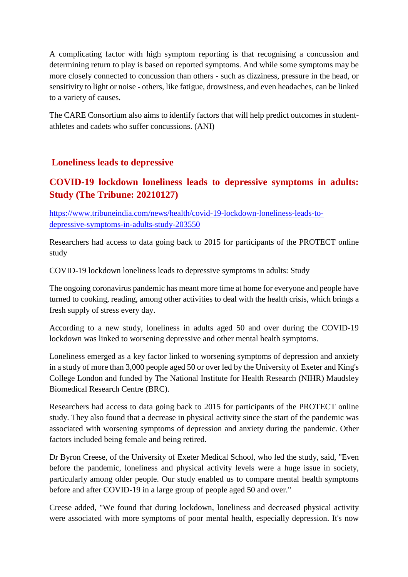A complicating factor with high symptom reporting is that recognising a concussion and determining return to play is based on reported symptoms. And while some symptoms may be more closely connected to concussion than others - such as dizziness, pressure in the head, or sensitivity to light or noise - others, like fatigue, drowsiness, and even headaches, can be linked to a variety of causes.

The CARE Consortium also aims to identify factors that will help predict outcomes in studentathletes and cadets who suffer concussions. (ANI)

#### **Loneliness leads to depressive**

## **COVID-19 lockdown loneliness leads to depressive symptoms in adults: Study (The Tribune: 20210127)**

https://www.tribuneindia.com/news/health/covid-19-lockdown-loneliness-leads-todepressive-symptoms-in-adults-study-203550

Researchers had access to data going back to 2015 for participants of the PROTECT online study

COVID-19 lockdown loneliness leads to depressive symptoms in adults: Study

The ongoing coronavirus pandemic has meant more time at home for everyone and people have turned to cooking, reading, among other activities to deal with the health crisis, which brings a fresh supply of stress every day.

According to a new study, loneliness in adults aged 50 and over during the COVID-19 lockdown was linked to worsening depressive and other mental health symptoms.

Loneliness emerged as a key factor linked to worsening symptoms of depression and anxiety in a study of more than 3,000 people aged 50 or over led by the University of Exeter and King's College London and funded by The National Institute for Health Research (NIHR) Maudsley Biomedical Research Centre (BRC).

Researchers had access to data going back to 2015 for participants of the PROTECT online study. They also found that a decrease in physical activity since the start of the pandemic was associated with worsening symptoms of depression and anxiety during the pandemic. Other factors included being female and being retired.

Dr Byron Creese, of the University of Exeter Medical School, who led the study, said, "Even before the pandemic, loneliness and physical activity levels were a huge issue in society, particularly among older people. Our study enabled us to compare mental health symptoms before and after COVID-19 in a large group of people aged 50 and over."

Creese added, "We found that during lockdown, loneliness and decreased physical activity were associated with more symptoms of poor mental health, especially depression. It's now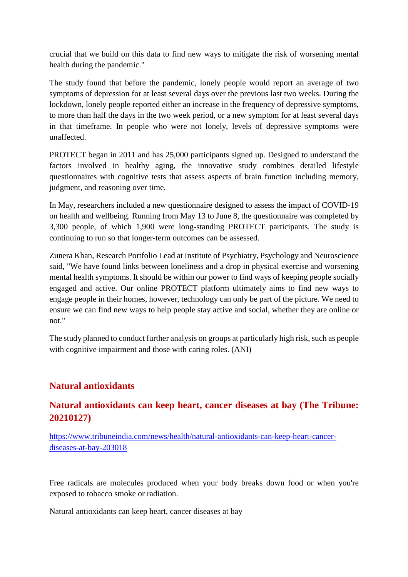crucial that we build on this data to find new ways to mitigate the risk of worsening mental health during the pandemic."

The study found that before the pandemic, lonely people would report an average of two symptoms of depression for at least several days over the previous last two weeks. During the lockdown, lonely people reported either an increase in the frequency of depressive symptoms, to more than half the days in the two week period, or a new symptom for at least several days in that timeframe. In people who were not lonely, levels of depressive symptoms were unaffected.

PROTECT began in 2011 and has 25,000 participants signed up. Designed to understand the factors involved in healthy aging, the innovative study combines detailed lifestyle questionnaires with cognitive tests that assess aspects of brain function including memory, judgment, and reasoning over time.

In May, researchers included a new questionnaire designed to assess the impact of COVID-19 on health and wellbeing. Running from May 13 to June 8, the questionnaire was completed by 3,300 people, of which 1,900 were long-standing PROTECT participants. The study is continuing to run so that longer-term outcomes can be assessed.

Zunera Khan, Research Portfolio Lead at Institute of Psychiatry, Psychology and Neuroscience said, "We have found links between loneliness and a drop in physical exercise and worsening mental health symptoms. It should be within our power to find ways of keeping people socially engaged and active. Our online PROTECT platform ultimately aims to find new ways to engage people in their homes, however, technology can only be part of the picture. We need to ensure we can find new ways to help people stay active and social, whether they are online or not."

The study planned to conduct further analysis on groups at particularly high risk, such as people with cognitive impairment and those with caring roles. (ANI)

## **Natural antioxidants**

## **Natural antioxidants can keep heart, cancer diseases at bay (The Tribune: 20210127)**

https://www.tribuneindia.com/news/health/natural-antioxidants-can-keep-heart-cancerdiseases-at-bay-203018

Free radicals are molecules produced when your body breaks down food or when you're exposed to tobacco smoke or radiation.

Natural antioxidants can keep heart, cancer diseases at bay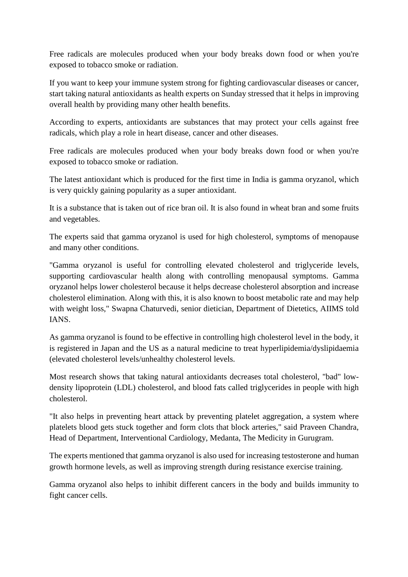Free radicals are molecules produced when your body breaks down food or when you're exposed to tobacco smoke or radiation.

If you want to keep your immune system strong for fighting cardiovascular diseases or cancer, start taking natural antioxidants as health experts on Sunday stressed that it helps in improving overall health by providing many other health benefits.

According to experts, antioxidants are substances that may protect your cells against free radicals, which play a role in heart disease, cancer and other diseases.

Free radicals are molecules produced when your body breaks down food or when you're exposed to tobacco smoke or radiation.

The latest antioxidant which is produced for the first time in India is gamma oryzanol, which is very quickly gaining popularity as a super antioxidant.

It is a substance that is taken out of rice bran oil. It is also found in wheat bran and some fruits and vegetables.

The experts said that gamma oryzanol is used for high cholesterol, symptoms of menopause and many other conditions.

"Gamma oryzanol is useful for controlling elevated cholesterol and triglyceride levels, supporting cardiovascular health along with controlling menopausal symptoms. Gamma oryzanol helps lower cholesterol because it helps decrease cholesterol absorption and increase cholesterol elimination. Along with this, it is also known to boost metabolic rate and may help with weight loss," Swapna Chaturvedi, senior dietician, Department of Dietetics, AIIMS told IANS.

As gamma oryzanol is found to be effective in controlling high cholesterol level in the body, it is registered in Japan and the US as a natural medicine to treat hyperlipidemia/dyslipidaemia (elevated cholesterol levels/unhealthy cholesterol levels.

Most research shows that taking natural antioxidants decreases total cholesterol, "bad" lowdensity lipoprotein (LDL) cholesterol, and blood fats called triglycerides in people with high cholesterol.

"It also helps in preventing heart attack by preventing platelet aggregation, a system where platelets blood gets stuck together and form clots that block arteries," said Praveen Chandra, Head of Department, Interventional Cardiology, Medanta, The Medicity in Gurugram.

The experts mentioned that gamma oryzanol is also used for increasing testosterone and human growth hormone levels, as well as improving strength during resistance exercise training.

Gamma oryzanol also helps to inhibit different cancers in the body and builds immunity to fight cancer cells.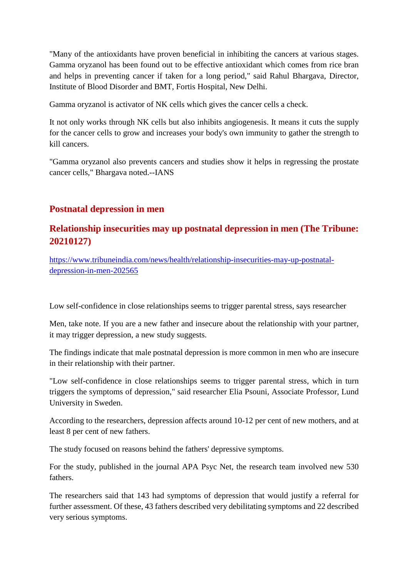"Many of the antioxidants have proven beneficial in inhibiting the cancers at various stages. Gamma oryzanol has been found out to be effective antioxidant which comes from rice bran and helps in preventing cancer if taken for a long period," said Rahul Bhargava, Director, Institute of Blood Disorder and BMT, Fortis Hospital, New Delhi.

Gamma oryzanol is activator of NK cells which gives the cancer cells a check.

It not only works through NK cells but also inhibits angiogenesis. It means it cuts the supply for the cancer cells to grow and increases your body's own immunity to gather the strength to kill cancers.

"Gamma oryzanol also prevents cancers and studies show it helps in regressing the prostate cancer cells," Bhargava noted.--IANS

#### **Postnatal depression in men**

## **Relationship insecurities may up postnatal depression in men (The Tribune: 20210127)**

https://www.tribuneindia.com/news/health/relationship-insecurities-may-up-postnataldepression-in-men-202565

Low self-confidence in close relationships seems to trigger parental stress, says researcher

Men, take note. If you are a new father and insecure about the relationship with your partner, it may trigger depression, a new study suggests.

The findings indicate that male postnatal depression is more common in men who are insecure in their relationship with their partner.

"Low self-confidence in close relationships seems to trigger parental stress, which in turn triggers the symptoms of depression," said researcher Elia Psouni, Associate Professor, Lund University in Sweden.

According to the researchers, depression affects around 10-12 per cent of new mothers, and at least 8 per cent of new fathers.

The study focused on reasons behind the fathers' depressive symptoms.

For the study, published in the journal APA Psyc Net, the research team involved new 530 fathers.

The researchers said that 143 had symptoms of depression that would justify a referral for further assessment. Of these, 43 fathers described very debilitating symptoms and 22 described very serious symptoms.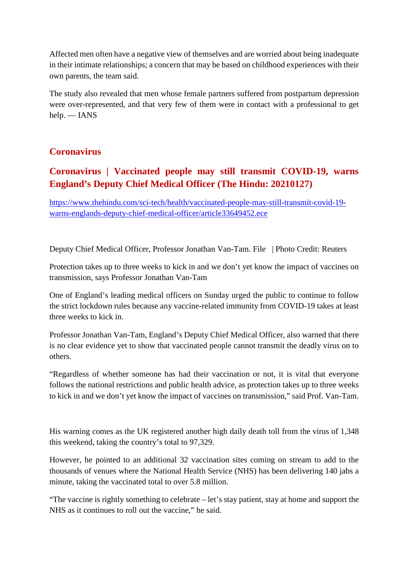Affected men often have a negative view of themselves and are worried about being inadequate in their intimate relationships; a concern that may be based on childhood experiences with their own parents, the team said.

The study also revealed that men whose female partners suffered from postpartum depression were over-represented, and that very few of them were in contact with a professional to get help. — IANS

## **Coronavirus**

# **Coronavirus | Vaccinated people may still transmit COVID-19, warns England's Deputy Chief Medical Officer (The Hindu: 20210127)**

https://www.thehindu.com/sci-tech/health/vaccinated-people-may-still-transmit-covid-19 warns-englands-deputy-chief-medical-officer/article33649452.ece

Deputy Chief Medical Officer, Professor Jonathan Van-Tam. File | Photo Credit: Reuters

Protection takes up to three weeks to kick in and we don't yet know the impact of vaccines on transmission, says Professor Jonathan Van-Tam

One of England's leading medical officers on Sunday urged the public to continue to follow the strict lockdown rules because any vaccine-related immunity from COVID-19 takes at least three weeks to kick in.

Professor Jonathan Van-Tam, England's Deputy Chief Medical Officer, also warned that there is no clear evidence yet to show that vaccinated people cannot transmit the deadly virus on to others.

"Regardless of whether someone has had their vaccination or not, it is vital that everyone follows the national restrictions and public health advice, as protection takes up to three weeks to kick in and we don't yet know the impact of vaccines on transmission," said Prof. Van-Tam.

His warning comes as the UK registered another high daily death toll from the virus of 1,348 this weekend, taking the country's total to 97,329.

However, he pointed to an additional 32 vaccination sites coming on stream to add to the thousands of venues where the National Health Service (NHS) has been delivering 140 jabs a minute, taking the vaccinated total to over 5.8 million.

"The vaccine is rightly something to celebrate – let's stay patient, stay at home and support the NHS as it continues to roll out the vaccine," he said.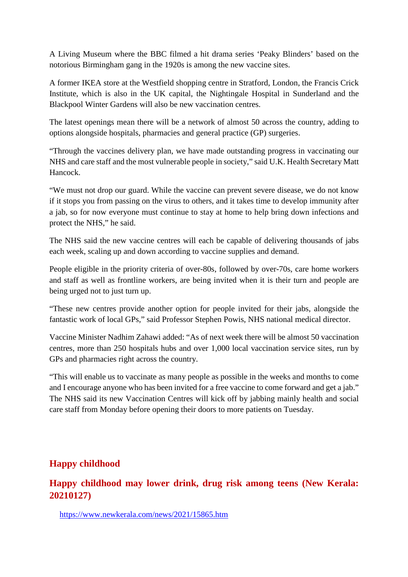A Living Museum where the BBC filmed a hit drama series 'Peaky Blinders' based on the notorious Birmingham gang in the 1920s is among the new vaccine sites.

A former IKEA store at the Westfield shopping centre in Stratford, London, the Francis Crick Institute, which is also in the UK capital, the Nightingale Hospital in Sunderland and the Blackpool Winter Gardens will also be new vaccination centres.

The latest openings mean there will be a network of almost 50 across the country, adding to options alongside hospitals, pharmacies and general practice (GP) surgeries.

"Through the vaccines delivery plan, we have made outstanding progress in vaccinating our NHS and care staff and the most vulnerable people in society," said U.K. Health Secretary Matt Hancock.

"We must not drop our guard. While the vaccine can prevent severe disease, we do not know if it stops you from passing on the virus to others, and it takes time to develop immunity after a jab, so for now everyone must continue to stay at home to help bring down infections and protect the NHS," he said.

The NHS said the new vaccine centres will each be capable of delivering thousands of jabs each week, scaling up and down according to vaccine supplies and demand.

People eligible in the priority criteria of over-80s, followed by over-70s, care home workers and staff as well as frontline workers, are being invited when it is their turn and people are being urged not to just turn up.

"These new centres provide another option for people invited for their jabs, alongside the fantastic work of local GPs," said Professor Stephen Powis, NHS national medical director.

Vaccine Minister Nadhim Zahawi added: "As of next week there will be almost 50 vaccination centres, more than 250 hospitals hubs and over 1,000 local vaccination service sites, run by GPs and pharmacies right across the country.

"This will enable us to vaccinate as many people as possible in the weeks and months to come and I encourage anyone who has been invited for a free vaccine to come forward and get a jab." The NHS said its new Vaccination Centres will kick off by jabbing mainly health and social care staff from Monday before opening their doors to more patients on Tuesday.

#### **Happy childhood**

**Happy childhood may lower drink, drug risk among teens (New Kerala: 20210127)**

https://www.newkerala.com/news/2021/15865.htm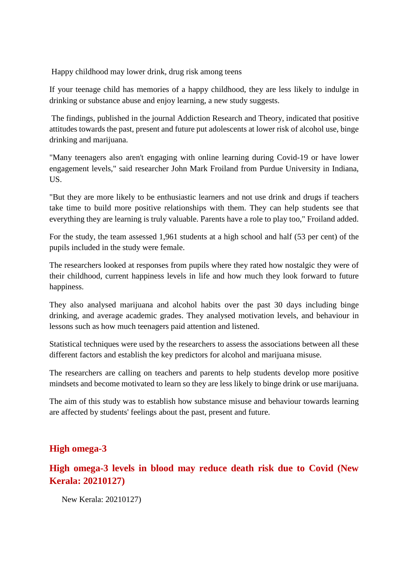Happy childhood may lower drink, drug risk among teens

If your teenage child has memories of a happy childhood, they are less likely to indulge in drinking or substance abuse and enjoy learning, a new study suggests.

The findings, published in the journal Addiction Research and Theory, indicated that positive attitudes towards the past, present and future put adolescents at lower risk of alcohol use, binge drinking and marijuana.

"Many teenagers also aren't engaging with online learning during Covid-19 or have lower engagement levels," said researcher John Mark Froiland from Purdue University in Indiana, US.

"But they are more likely to be enthusiastic learners and not use drink and drugs if teachers take time to build more positive relationships with them. They can help students see that everything they are learning is truly valuable. Parents have a role to play too," Froiland added.

For the study, the team assessed 1,961 students at a high school and half (53 per cent) of the pupils included in the study were female.

The researchers looked at responses from pupils where they rated how nostalgic they were of their childhood, current happiness levels in life and how much they look forward to future happiness.

They also analysed marijuana and alcohol habits over the past 30 days including binge drinking, and average academic grades. They analysed motivation levels, and behaviour in lessons such as how much teenagers paid attention and listened.

Statistical techniques were used by the researchers to assess the associations between all these different factors and establish the key predictors for alcohol and marijuana misuse.

The researchers are calling on teachers and parents to help students develop more positive mindsets and become motivated to learn so they are less likely to binge drink or use marijuana.

The aim of this study was to establish how substance misuse and behaviour towards learning are affected by students' feelings about the past, present and future.

#### **High omega-3**

**High omega-3 levels in blood may reduce death risk due to Covid (New Kerala: 20210127)**

New Kerala: 20210127)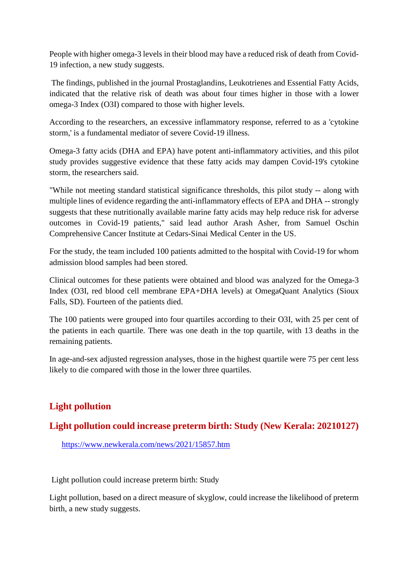People with higher omega-3 levels in their blood may have a reduced risk of death from Covid-19 infection, a new study suggests.

The findings, published in the journal Prostaglandins, Leukotrienes and Essential Fatty Acids, indicated that the relative risk of death was about four times higher in those with a lower omega-3 Index (O3I) compared to those with higher levels.

According to the researchers, an excessive inflammatory response, referred to as a 'cytokine storm,' is a fundamental mediator of severe Covid-19 illness.

Omega-3 fatty acids (DHA and EPA) have potent anti-inflammatory activities, and this pilot study provides suggestive evidence that these fatty acids may dampen Covid-19's cytokine storm, the researchers said.

"While not meeting standard statistical significance thresholds, this pilot study -- along with multiple lines of evidence regarding the anti-inflammatory effects of EPA and DHA -- strongly suggests that these nutritionally available marine fatty acids may help reduce risk for adverse outcomes in Covid-19 patients," said lead author Arash Asher, from Samuel Oschin Comprehensive Cancer Institute at Cedars-Sinai Medical Center in the US.

For the study, the team included 100 patients admitted to the hospital with Covid-19 for whom admission blood samples had been stored.

Clinical outcomes for these patients were obtained and blood was analyzed for the Omega-3 Index (O3I, red blood cell membrane EPA+DHA levels) at OmegaQuant Analytics (Sioux Falls, SD). Fourteen of the patients died.

The 100 patients were grouped into four quartiles according to their O3I, with 25 per cent of the patients in each quartile. There was one death in the top quartile, with 13 deaths in the remaining patients.

In age-and-sex adjusted regression analyses, those in the highest quartile were 75 per cent less likely to die compared with those in the lower three quartiles.

# **Light pollution**

## **Light pollution could increase preterm birth: Study (New Kerala: 20210127)**

https://www.newkerala.com/news/2021/15857.htm

Light pollution could increase preterm birth: Study

Light pollution, based on a direct measure of skyglow, could increase the likelihood of preterm birth, a new study suggests.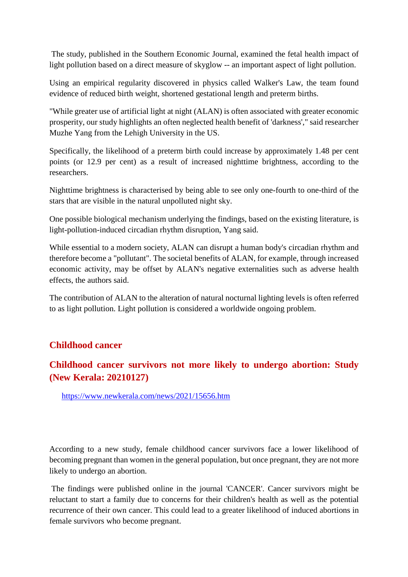The study, published in the Southern Economic Journal, examined the fetal health impact of light pollution based on a direct measure of skyglow -- an important aspect of light pollution.

Using an empirical regularity discovered in physics called Walker's Law, the team found evidence of reduced birth weight, shortened gestational length and preterm births.

"While greater use of artificial light at night (ALAN) is often associated with greater economic prosperity, our study highlights an often neglected health benefit of 'darkness'," said researcher Muzhe Yang from the Lehigh University in the US.

Specifically, the likelihood of a preterm birth could increase by approximately 1.48 per cent points (or 12.9 per cent) as a result of increased nighttime brightness, according to the researchers.

Nighttime brightness is characterised by being able to see only one-fourth to one-third of the stars that are visible in the natural unpolluted night sky.

One possible biological mechanism underlying the findings, based on the existing literature, is light-pollution-induced circadian rhythm disruption, Yang said.

While essential to a modern society, ALAN can disrupt a human body's circadian rhythm and therefore become a "pollutant". The societal benefits of ALAN, for example, through increased economic activity, may be offset by ALAN's negative externalities such as adverse health effects, the authors said.

The contribution of ALAN to the alteration of natural nocturnal lighting levels is often referred to as light pollution. Light pollution is considered a worldwide ongoing problem.

#### **Childhood cancer**

# **Childhood cancer survivors not more likely to undergo abortion: Study (New Kerala: 20210127)**

https://www.newkerala.com/news/2021/15656.htm

According to a new study, female childhood cancer survivors face a lower likelihood of becoming pregnant than women in the general population, but once pregnant, they are not more likely to undergo an abortion.

The findings were published online in the journal 'CANCER'. Cancer survivors might be reluctant to start a family due to concerns for their children's health as well as the potential recurrence of their own cancer. This could lead to a greater likelihood of induced abortions in female survivors who become pregnant.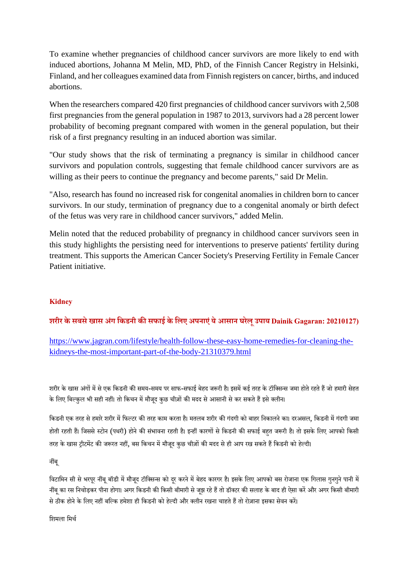To examine whether pregnancies of childhood cancer survivors are more likely to end with induced abortions, Johanna M Melin, MD, PhD, of the Finnish Cancer Registry in Helsinki, Finland, and her colleagues examined data from Finnish registers on cancer, births, and induced abortions.

When the researchers compared 420 first pregnancies of childhood cancer survivors with 2,508 first pregnancies from the general population in 1987 to 2013, survivors had a 28 percent lower probability of becoming pregnant compared with women in the general population, but their risk of a first pregnancy resulting in an induced abortion was similar.

"Our study shows that the risk of terminating a pregnancy is similar in childhood cancer survivors and population controls, suggesting that female childhood cancer survivors are as willing as their peers to continue the pregnancy and become parents," said Dr Melin.

"Also, research has found no increased risk for congenital anomalies in children born to cancer survivors. In our study, termination of pregnancy due to a congenital anomaly or birth defect of the fetus was very rare in childhood cancer survivors," added Melin.

Melin noted that the reduced probability of pregnancy in childhood cancer survivors seen in this study highlights the persisting need for interventions to preserve patients' fertility during treatment. This supports the American Cancer Society's Preserving Fertility in Female Cancer Patient initiative.

#### **Kidney**

#### **शरीर केसबसेखास अंग िकडनी कसफाई केिलए अपनाएंयेआसान घरेलूउपाय Dainik Gagaran:20210127)**

https://www.jagran.com/lifestyle/health-follow-these-easy-home-remedies-for-cleaning-thekidneys-the-most-important-part-of-the-body-21310379.html

शरीर के खास अंगों में से एक किडनी की समय-समय पर साफ-सफाई बेहद जरूरी है। इसमें कई तरह के टॉक्सिन्स जमा होते रहते हैं जो हमारी सेहत के लिए बिल्कुल भी सही नहीं। तो किचन में मौजूद कुछ चीज़ों की मदद से आसानी से कर सकते हैं इसे क्लीन।

किडनी एक तरह से हमारे शरीर में फिल्टर की तरह काम करता है। मतलब शरीर की गंदगी को बाहर निकालने का। दरअसल, किडनी में गंदगी जमा होती रहती हैं। जिससे स्टोन (पथरी) होने की संभावना रहती है। इन्हीं कारणों से किडनी की सफाई बहत जरूरी है। तो इसके लिए आपको किसी तरह के खास ट्रीटमेंट की जरूरत नहीं, बस किचन में मौजूद कुछ चीज़ों की मदद से ही आप रख सकते हैं किडनी को हेल्दी।

नींबू

विटामिन सी से भरपूर नींबू बॉडी में मौजूद टॉक्सिन्स को दर करने में बेहद कारगर है। इसके लिए आपको बस रोजाना एक गिलास गुनगुने पानी में नींबू का रस निचोड़कर पीना होगा। अगर किडनी की किसी बीमारी से जूझ रहे हैं तो डॉक्टर की सलाह के बाद ही ऐसा करें और अगर किसी बीमारी से ठीक होने के लिए नहीं बल्कि हमेशा ही किडनी को हेल्दी और क्लीन रखना चाहते हैं तो रोज़ाना इसका सेवन करें।

शिमला मिर्च